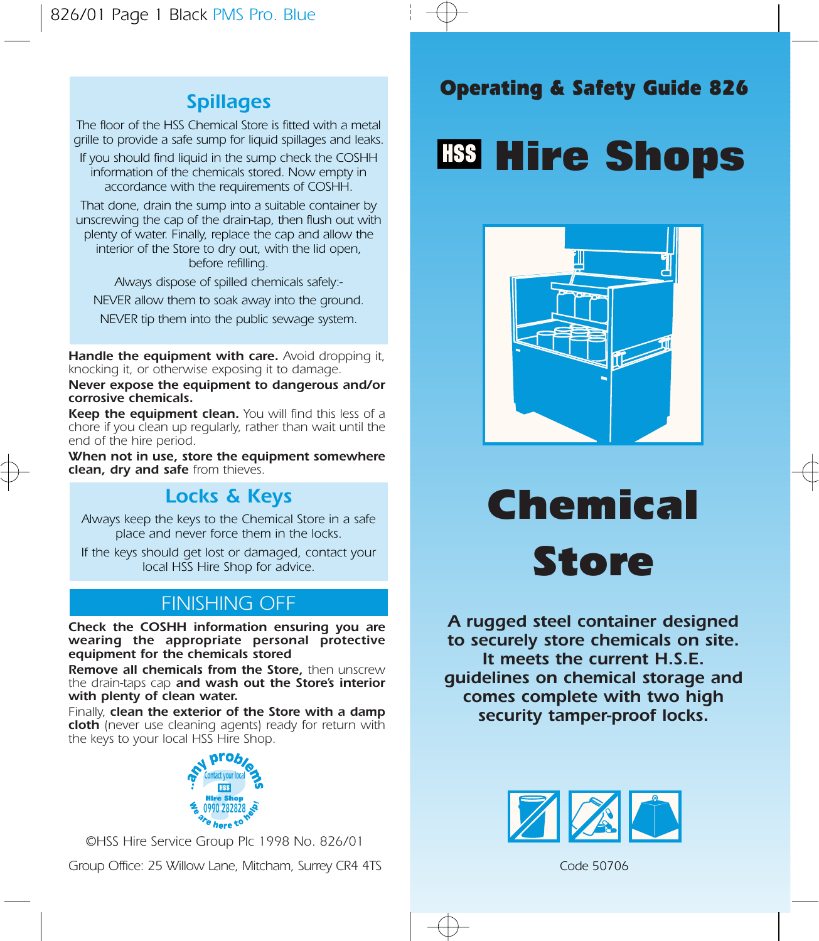## Spillages

The floor of the HSS Chemical Store is fitted with a metal grille to provide a safe sump for liquid spillages and leaks.

If you should find liquid in the sump check the COSHH information of the chemicals stored. Now empty in accordance with the requirements of COSHH.

That done, drain the sump into a suitable container by unscrewing the cap of the drain-tap, then flush out with plenty of water. Finally, replace the cap and allow the interior of the Store to dry out, with the lid open, before refilling.

Always dispose of spilled chemicals safely:- NEVER allow them to soak away into the ground.

NEVER tip them into the public sewage system.

Handle the equipment with care. Avoid dropping it, knocking it, or otherwise exposing it to damage.

Never expose the equipment to dangerous and/or corrosive chemicals.

Keep the equipment clean. You will find this less of a chore if you clean up regularly, rather than wait until the end of the hire period.

When not in use, store the equipment somewhere clean, dry and safe from thieves.

# Locks & Keys

Always keep the keys to the Chemical Store in a safe place and never force them in the locks.

If the keys should get lost or damaged, contact your local HSS Hire Shop for advice.

# FINISHING OFF

Check the COSHH information ensuring you are wearing the appropriate personal protective equipment for the chemicals stored

Remove all chemicals from the Store, then unscrew the drain-taps cap and wash out the Store's interior with plenty of clean water.

Finally, clean the exterior of the Store with a damp cloth (never use cleaning agents) ready for return with the keys to your local HSS Hire Shop.



©HSS Hire Service Group Plc 1998 No. 826/01



# Operating & Safety Guide 826

# **Hire Shops**



Chemical Store

A rugged steel container designed to securely store chemicals on site. It meets the current H.S.E. guidelines on chemical storage and comes complete with two high security tamper-proof locks.



Code 50706